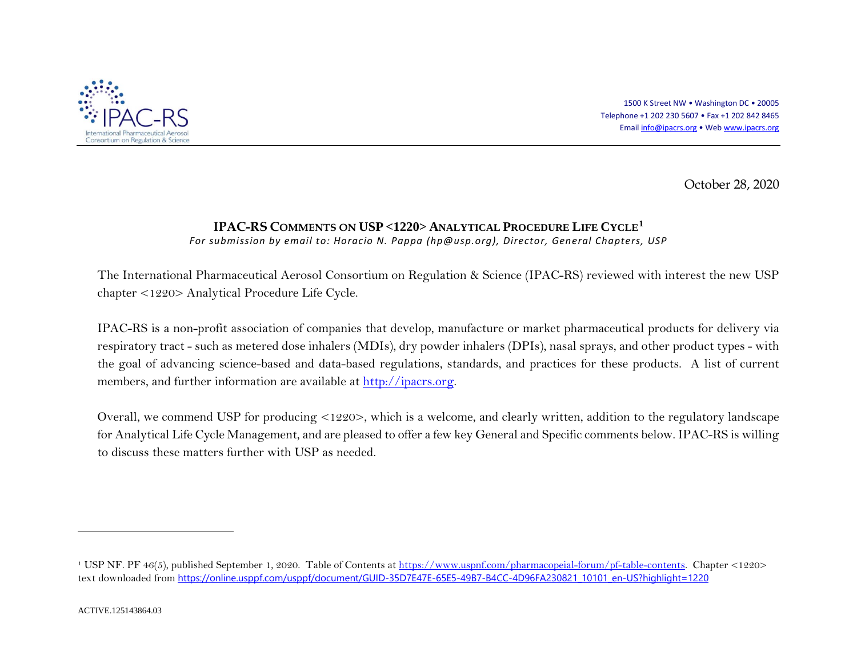

<span id="page-0-0"></span>1500 K Street NW • Washington DC • 20005 Telephone +1 202 230 5607 • Fax +1 202 842 8465 Emai[l info@ipacrs.org](mailto:info@ipacrs.org) • We[b www.ipacrs.org](http://www.ipacrs.org/)

October 28, 2020

## **IPAC-RS COMMENTS ON USP <1220> ANALYTICAL PROCEDURE LIFE CYCLE[1](#page-0-0)**

*For submission by email to: Horacio N. Pappa [\(hp@usp.org\)](mailto:hp@usp.org), Director, General Chapters, USP*

The International Pharmaceutical Aerosol Consortium on Regulation & Science (IPAC-RS) reviewed with interest the new USP chapter <1220> Analytical Procedure Life Cycle.

IPAC-RS is a non-profit association of companies that develop, manufacture or market pharmaceutical products for delivery via respiratory tract - such as metered dose inhalers (MDIs), dry powder inhalers (DPIs), nasal sprays, and other product types - with the goal of advancing science-based and data-based regulations, standards, and practices for these products. A list of current members, and further information are available at [http://ipacrs.org.](http://ipacrs.org/)

Overall, we commend USP for producing <1220>, which is a welcome, and clearly written, addition to the regulatory landscape for Analytical Life Cycle Management, and are pleased to offer a few key General and Specific comments below. IPAC-RS is willing to discuss these matters further with USP as needed.

 $\overline{a}$ 

<sup>&</sup>lt;sup>1</sup> USP NF. PF 46(5), published September 1, 2020. Table of Contents a[t https://www.uspnf.com/pharmacopeial-forum/pf-table-contents.](https://www.uspnf.com/pharmacopeial-forum/pf-table-contents) Chapter <1220> text downloaded from [https://online.usppf.com/usppf/document/GUID-35D7E47E-65E5-49B7-B4CC-4D96FA230821\\_10101\\_en-US?highlight=1220](https://online.usppf.com/usppf/document/GUID-35D7E47E-65E5-49B7-B4CC-4D96FA230821_10101_en-US?highlight=1220)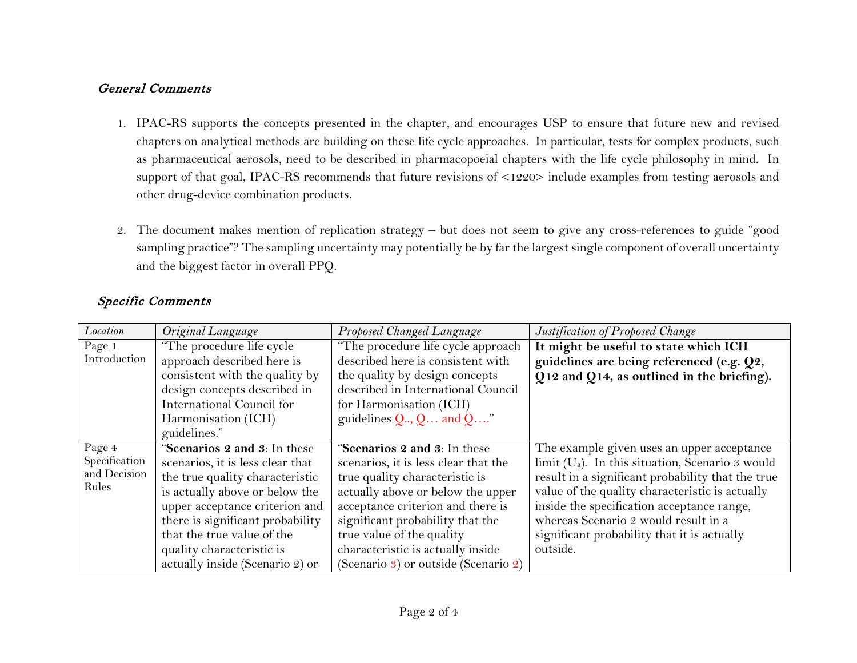## General Comments

- 1. IPAC-RS supports the concepts presented in the chapter, and encourages USP to ensure that future new and revised chapters on analytical methods are building on these life cycle approaches. In particular, tests for complex products, such as pharmaceutical aerosols, need to be described in pharmacopoeial chapters with the life cycle philosophy in mind. In support of that goal, IPAC-RS recommends that future revisions of <1220> include examples from testing aerosols and other drug-device combination products.
- 2. The document makes mention of replication strategy but does not seem to give any cross-references to guide "good sampling practice"? The sampling uncertainty may potentially be by far the largest single component of overall uncertainty and the biggest factor in overall PPQ.

| Location      | Original Language                | Proposed Changed Language                                                            | Justification of Proposed Change                                 |
|---------------|----------------------------------|--------------------------------------------------------------------------------------|------------------------------------------------------------------|
| Page 1        | "The procedure life cycle"       | "The procedure life cycle approach                                                   | It might be useful to state which ICH                            |
| Introduction  | approach described here is       | described here is consistent with                                                    | guidelines are being referenced (e.g. Q2,                        |
|               | consistent with the quality by   | the quality by design concepts                                                       | Q12 and Q14, as outlined in the briefing).                       |
|               | design concepts described in     | described in International Council                                                   |                                                                  |
|               | International Council for        | for Harmonisation (ICH)                                                              |                                                                  |
|               | Harmonisation (ICH)              | guidelines $Q_{\cdot\cdot\cdot}$ , $Q_{\cdot\cdot\cdot}$ and $Q_{\cdot\cdot\cdot}$ . |                                                                  |
|               | guidelines."                     |                                                                                      |                                                                  |
| Page 4        | "Scenarios 2 and 3: In these     | "Scenarios 2 and 3: In these                                                         | The example given uses an upper acceptance                       |
| Specification | scenarios, it is less clear that | scenarios, it is less clear that the                                                 | $\lim$ it (U <sub>a</sub> ). In this situation, Scenario 3 would |
| and Decision  | the true quality characteristic  | true quality characteristic is                                                       | result in a significant probability that the true                |
| Rules         | is actually above or below the   | actually above or below the upper                                                    | value of the quality characteristic is actually                  |
|               | upper acceptance criterion and   | acceptance criterion and there is                                                    | inside the specification acceptance range,                       |
|               | there is significant probability | significant probability that the                                                     | whereas Scenario 2 would result in a                             |
|               | that the true value of the       | true value of the quality                                                            | significant probability that it is actually                      |
|               | quality characteristic is        | characteristic is actually inside                                                    | outside.                                                         |
|               | actually inside (Scenario 2) or  | (Scenario 3) or outside (Scenario 2)                                                 |                                                                  |

## Specific Comments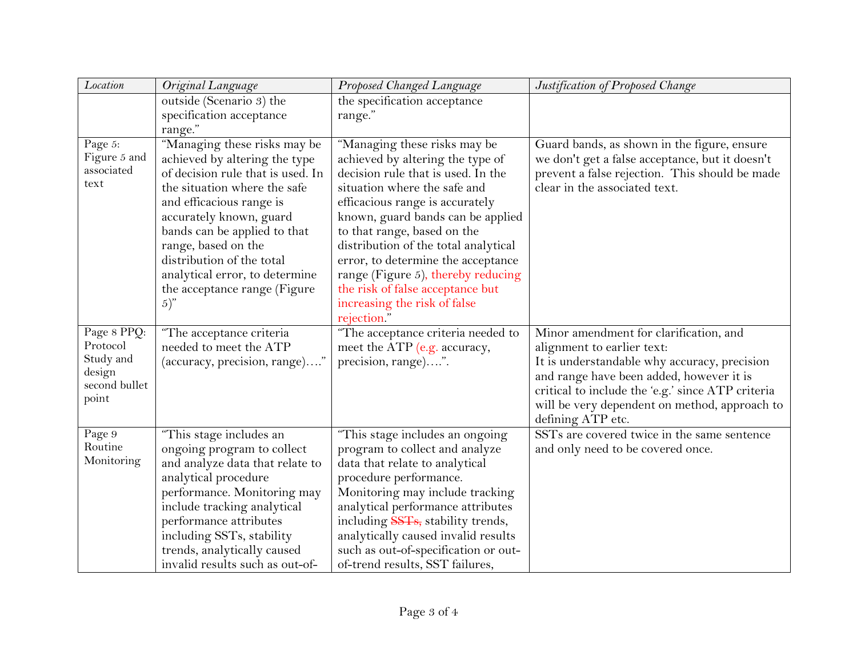| Location                                                                 | Original Language                                                                                                                                                                                                                                                                                                                                          | Proposed Changed Language                                                                                                                                                                                                                                                                                                                                                                                                                            | Justification of Proposed Change                                                                                                                                                                                                                                                            |
|--------------------------------------------------------------------------|------------------------------------------------------------------------------------------------------------------------------------------------------------------------------------------------------------------------------------------------------------------------------------------------------------------------------------------------------------|------------------------------------------------------------------------------------------------------------------------------------------------------------------------------------------------------------------------------------------------------------------------------------------------------------------------------------------------------------------------------------------------------------------------------------------------------|---------------------------------------------------------------------------------------------------------------------------------------------------------------------------------------------------------------------------------------------------------------------------------------------|
|                                                                          | outside (Scenario 3) the                                                                                                                                                                                                                                                                                                                                   | the specification acceptance                                                                                                                                                                                                                                                                                                                                                                                                                         |                                                                                                                                                                                                                                                                                             |
|                                                                          | specification acceptance                                                                                                                                                                                                                                                                                                                                   | range."                                                                                                                                                                                                                                                                                                                                                                                                                                              |                                                                                                                                                                                                                                                                                             |
|                                                                          | range."                                                                                                                                                                                                                                                                                                                                                    |                                                                                                                                                                                                                                                                                                                                                                                                                                                      |                                                                                                                                                                                                                                                                                             |
| Page 5:<br>Figure 5 and<br>associated<br>text                            | "Managing these risks may be<br>achieved by altering the type<br>of decision rule that is used. In<br>the situation where the safe<br>and efficacious range is<br>accurately known, guard<br>bands can be applied to that<br>range, based on the<br>distribution of the total<br>analytical error, to determine<br>the acceptance range (Figure<br>$(5)$ " | "Managing these risks may be<br>achieved by altering the type of<br>decision rule that is used. In the<br>situation where the safe and<br>efficacious range is accurately<br>known, guard bands can be applied<br>to that range, based on the<br>distribution of the total analytical<br>error, to determine the acceptance<br>range (Figure 5), thereby reducing<br>the risk of false acceptance but<br>increasing the risk of false<br>rejection." | Guard bands, as shown in the figure, ensure<br>we don't get a false acceptance, but it doesn't<br>prevent a false rejection. This should be made<br>clear in the associated text.                                                                                                           |
| Page 8 PPQ:<br>Protocol<br>Study and<br>design<br>second bullet<br>point | "The acceptance criteria<br>needed to meet the ATP<br>(accuracy, precision, range)"                                                                                                                                                                                                                                                                        | "The acceptance criteria needed to<br>meet the ATP (e.g. accuracy,<br>precision, range)".                                                                                                                                                                                                                                                                                                                                                            | Minor amendment for clarification, and<br>alignment to earlier text:<br>It is understandable why accuracy, precision<br>and range have been added, however it is<br>critical to include the 'e.g.' since ATP criteria<br>will be very dependent on method, approach to<br>defining ATP etc. |
| Page 9<br>Routine<br>Monitoring                                          | "This stage includes an<br>ongoing program to collect<br>and analyze data that relate to<br>analytical procedure<br>performance. Monitoring may<br>include tracking analytical<br>performance attributes<br>including SSTs, stability<br>trends, analytically caused<br>invalid results such as out-of-                                                    | "This stage includes an ongoing<br>program to collect and analyze<br>data that relate to analytical<br>procedure performance.<br>Monitoring may include tracking<br>analytical performance attributes<br>including SSTs, stability trends,<br>analytically caused invalid results<br>such as out-of-specification or out-<br>of-trend results, SST failures,                                                                                         | SSTs are covered twice in the same sentence<br>and only need to be covered once.                                                                                                                                                                                                            |